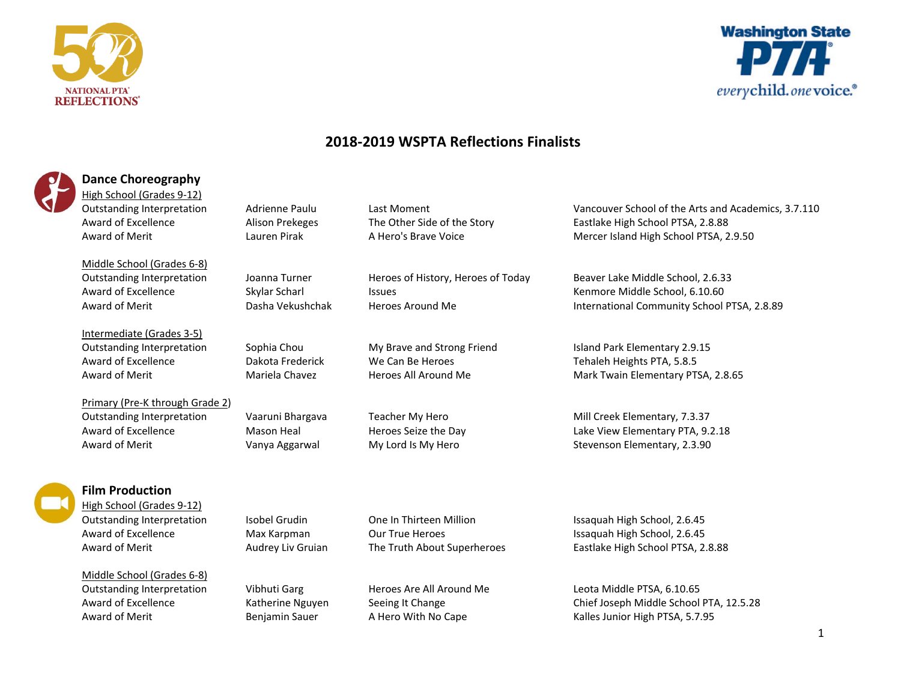



# **2018-2019 WSPTA Reflections Finalists**

| <b>Dance Choreography</b>                           |                        |                                    |
|-----------------------------------------------------|------------------------|------------------------------------|
| High School (Grades 9-12)                           |                        |                                    |
| <b>Outstanding Interpretation</b>                   | Adrienne Paulu         | Last Moment                        |
| Award of Excellence                                 | <b>Alison Prekeges</b> | The Other Side of the Story        |
| Award of Merit                                      | Lauren Pirak           | A Hero's Brave Voice               |
| Middle School (Grades 6-8)                          |                        |                                    |
| <b>Outstanding Interpretation</b>                   | Joanna Turner          | Heroes of History, Heroes of Today |
| Award of Excellence                                 | Skylar Scharl          | <b>Issues</b>                      |
| Award of Merit                                      | Dasha Vekushchak       | Heroes Around Me                   |
| Intermediate (Grades 3-5)                           |                        |                                    |
| <b>Outstanding Interpretation</b>                   | Sophia Chou            | My Brave and Strong Friend         |
| Award of Excellence                                 | Dakota Frederick       | We Can Be Heroes                   |
| Award of Merit                                      | Mariela Chavez         | Heroes All Around Me               |
| Primary (Pre-K through Grade 2)                     |                        |                                    |
| <b>Outstanding Interpretation</b>                   | Vaaruni Bhargava       | Teacher My Hero                    |
| Award of Excellence                                 | Mason Heal             | Heroes Seize the Day               |
| Award of Merit                                      | Vanya Aggarwal         | My Lord Is My Hero                 |
|                                                     |                        |                                    |
| <b>Film Production</b><br>High School (Grades 9-12) |                        |                                    |
| Outstanding Interpretation                          | Isobel Grudin          | One In Thirteen Million            |
| Award of Excellence                                 | Max Karpman            | <b>Our True Heroes</b>             |
| Award of Merit                                      | Audrey Liv Gruian      | The Truth About Superheroes        |
|                                                     |                        |                                    |
| Middle School (Grades 6-8)                          |                        |                                    |
| Outstanding Interpretation                          | Vibhuti Garg           | Heroes Are All Around Me           |
| Award of Excellence                                 | Katherine Nguyen       | Seeing It Change                   |
| Award of Merit                                      | Benjamin Sauer         | A Hero With No Cape                |
|                                                     |                        |                                    |

Vancouver School of the Arts and Academics, 3.7.110 Eastlake High School PTSA, 2.8.88 Mercer Island High School PTSA, 2.9.50

Beaver Lake Middle School, 2.6.33 Kenmore Middle School, 6.10.60 International Community School PTSA, 2.8.89

Island Park Elementary 2.9.15 Tehaleh Heights PTA, 5.8.5 Mark Twain Elementary PTSA, 2.8.65

Mill Creek Elementary, 7.3.37 Lake View Elementary PTA, 9.2.18 Stevenson Elementary, 2.3.90

Issaquah High School, 2.6.45 Issaquah High School, 2.6.45 Eastlake High School PTSA, 2.8.88

Leota Middle PTSA, 6.10.65

Kalles Junior High PTSA, 5.7.95

Chief Joseph Middle School PTA, 12.5.28

## 1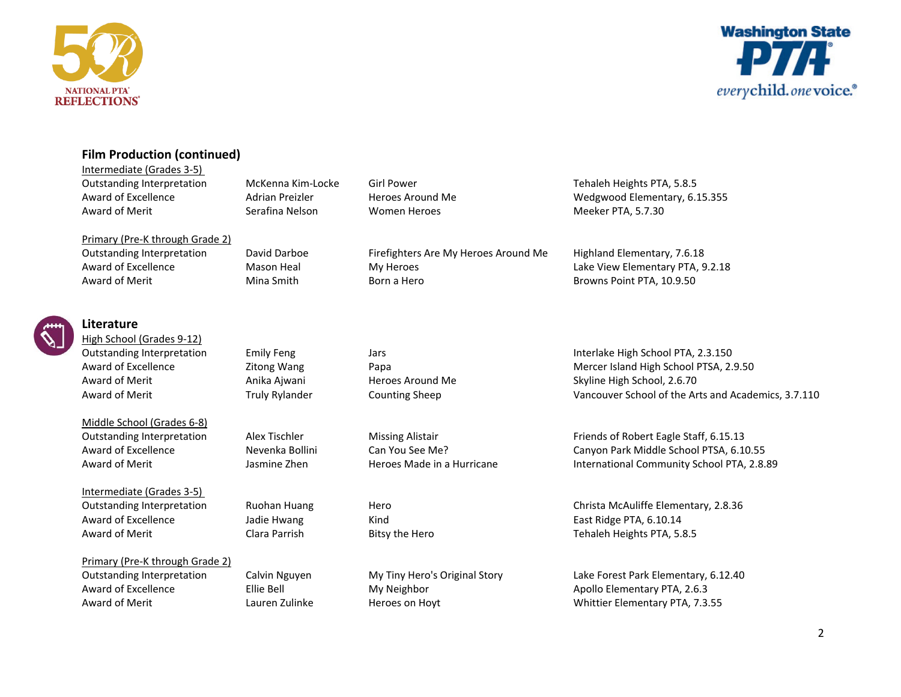



## **Film Production (continued)**

Primary (Pre-K through Grade 2)

Intermediate (Grades 3-5) Outstanding Interpretation McKenna Kim-Locke Girl Power Tehaleh Heights PTA, 5.8.5 Award of Merit **Serafina Nelson** Women Heroes **Meeker PTA, 5.7.30** 

Outstanding Interpretation David Darboe Firefighters Are My Heroes Around Me Highland Elementary, 7.6.18 Award of Excellence **Mason Heal** My Heroes **My Heroes** Lake View Elementary PTA, 9.2.18 Award of Merit **Mina Smith** Born a Hero Born and Browns Point PTA, 10.9.50

Award of Excellence **Adrian Preizler** Heroes Around Me Wedgwood Elementary, 6.15.355



## **Literature**

High School (Grades 9-12)

Middle School (Grades 6-8)

Intermediate (Grades 3-5) Award of Excellence **State Hawang East Ridge PTA, 6.10.14** East Ridge PTA, 6.10.14 Award of Merit **Example 20** Clara Parrish Bitsy the Hero Tehaleh Heights PTA, 5.8.5

Primary (Pre-K through Grade 2)

Outstanding Interpretation Emily Feng Jars Interlake High School PTA, 2.3.150 Award of Excellence **Excellence** Zitong Wang Papa Papa **Papa Mercer Island High School PTSA, 2.9.50** Award of Merit Anika Ajwani Heroes Around Me Skyline High School, 2.6.70 Award of Merit Truly Rylander Counting Sheep Vancouver School of the Arts and Academics, 3.7.110

Outstanding Interpretation Alex Tischler Missing Alistair **Missing Alistair** Friends of Robert Eagle Staff, 6.15.13 Award of Excellence The Nevenka Bollini Can You See Me? Can Canyon Park Middle School PTSA, 6.10.55 Award of Merit **School PTA, 2.8.89** Jasmine Zhen Heroes Made in a Hurricane **International Community School PTA, 2.8.89** 

Outstanding Interpretation Ruohan Huang Hero Christa McAuliffe Elementary, 2.8.36

Outstanding Interpretation Calvin Nguyen My Tiny Hero's Original Story Lake Forest Park Elementary, 6.12.40 Award of Excellence Filie Bell Ellie Bell My Neighbor Apollo Elementary PTA, 2.6.3 Award of Merit **Elementary PTA, 7.3.55** Lauren Zulinke Heroes on Hoyt **Heroes on Hoyt** Whittier Elementary PTA, 7.3.55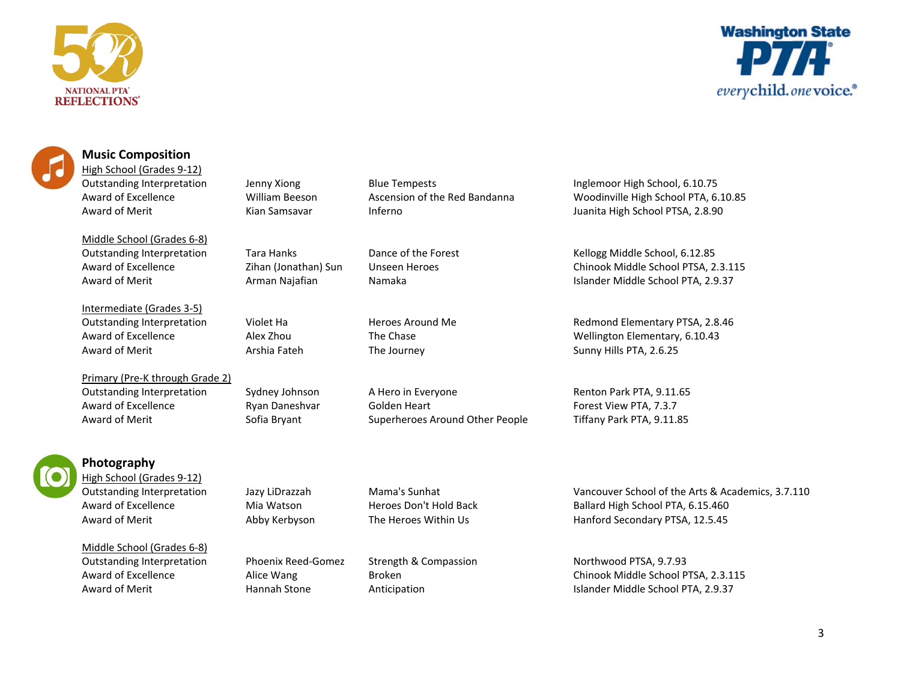





### **Music Composition**

High School (Grades 9-12)

Middle School (Grades 6-8)

Intermediate (Grades 3-5) Award of Merit **Arshia Fateh** The Journey **Sunny Hills PTA, 2.6.25** Sunny Hills PTA, 2.6.25

Primary (Pre-K through Grade 2) Outstanding Interpretation Sydney Johnson A Hero in Everyone Renton Park PTA, 9.11.65 Award of Excellence **Ryan Daneshvar** Golden Heart **Forest View PTA, 7.3.7** Award of Merit Sofia Bryant Superheroes Around Other People Tiffany Park PTA, 9.11.85



Award of Merit **Award of Merit** Kian Samsavar **Inferno Inferno America** Juanita High School PTSA, 2.8.90

Outstanding Interpretation Jenny Xiong Blue Tempests Inglemoor High School, 6.10.75 Award of Excellence William Beeson Ascension of the Red Bandanna Woodinville High School PTA, 6.10.85

Outstanding Interpretation Tara Hanks Dance of the Forest Kellogg Middle School, 6.12.85 Award of Excellence Zihan (Jonathan) Sun Unseen Heroes Chinook Middle School PTSA, 2.3.115 Award of Merit **Arman Najafian** Namaka **Namaka** Islander Middle School PTA, 2.9.37

Outstanding Interpretation Violet Ha Heroes Around Me Redmond Elementary PTSA, 2.8.46 Award of Excellence **Alex Zhou** Alex Zhou The Chase Mellington Elementary, 6.10.43



## **Photography**

High School (Grades 9-12)

Middle School (Grades 6-8) Outstanding Interpretation Phoenix Reed-Gomez Strength & Compassion Northwood PTSA, 9.7.93

Outstanding Interpretation Jazy LiDrazzah Mama's Sunhat Vancouver School of the Arts & Academics, 3.7.110 Award of Excellence Mia Watson Heroes Don't Hold Back Ballard High School PTA, 6.15.460 Award of Merit **Abby Kerbyson** The Heroes Within Us **Hanford Secondary PTSA, 12.5.45** 

Award of Excellence and Alice Wang Broken Broken Chinook Middle School PTSA, 2.3.115 Award of Merit **All Audio Hannah Stone** Anticipation **Anticipation** Islander Middle School PTA, 2.9.37

3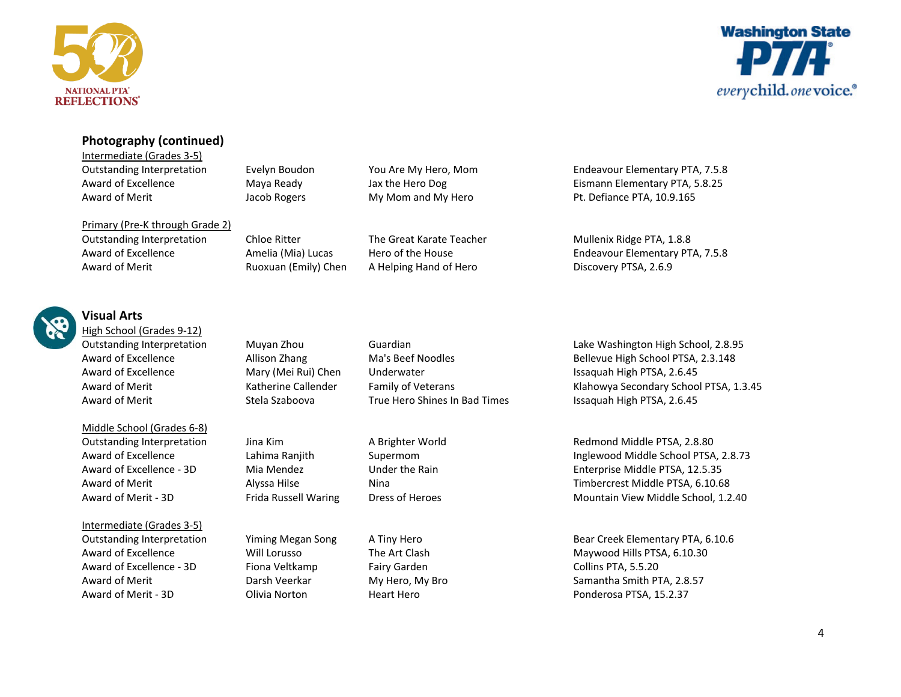



## **Photography (continued)**

Intermediate (Grades 3-5) Award of Merit **Award of Merit** Jacob Rogers My Mom and My Hero Pt. Defiance PTA, 10.9.165

Primary (Pre-K through Grade 2)

Outstanding Interpretation Evelyn Boudon You Are My Hero, Mom Endeavour Elementary PTA, 7.5.8 Award of Excellence Maya Ready Jax the Hero Dog Eismann Elementary PTA, 5.8.25

Outstanding Interpretation Chloe Ritter The Great Karate Teacher Mullenix Ridge PTA, 1.8.8 Award of Excellence **Amelia (Mia) Lucas** Hero of the House **Hero in the House** Endeavour Elementary PTA, 7.5.8 Award of Merit **Ruoxuan (Emily) Chen** A Helping Hand of Hero **Rubis** Discovery PTSA, 2.6.9



# **Visual Arts**

High School (Grades 9-12)

Middle School (Grades 6-8)

#### Intermediate (Grades 3-5)

Award of Excellence - 3D Fiona Veltkamp Fairy Garden Fairy Garden Collins PTA, 5.5.20 Award of Merit - 3D Clivia Norton Heart Hero Heart Hero Ponderosa PTSA, 15.2.37

Award of Excellence Mary (Mei Rui) Chen Underwater Chen Busaquah High PTSA, 2.6.45 Award of Merit Stela Szaboova True Hero Shines In Bad Times Issaquah High PTSA, 2.6.45

Outstanding Interpretation Muyan Zhou Guardian Lake Washington High School, 2.8.95 Award of Excellence and Allison Zhang Ma's Beef Noodles Bellevue High School PTSA, 2.3.148 Award of Merit **Katherine Callender** Family of Veterans Klahowya Secondary School PTSA, 1.3.45

Outstanding Interpretation Jina Kim A Brighter World Redmond Middle PTSA, 2.8.80 Award of Excellence **Lahima Ranjith** Supermom **Inglewood Middle School PTSA, 2.8.73** Award of Excellence - 3D Mia Mendez Under the Rain Figure 2012 Enterprise Middle PTSA, 12.5.35 Award of Merit **Alyssa Hilse** Nina Nina Nina Nina Timbercrest Middle PTSA, 6.10.68 Award of Merit - 3D Frida Russell Waring Dress of Heroes Mountain View Middle School, 1.2.40

Outstanding Interpretation Yiming Megan Song A Tiny Hero Bear Creek Elementary PTA, 6.10.6 Award of Excellence **Mill Lorusso** The Art Clash Maywood Hills PTSA, 6.10.30 Award of Merit **Example 2.8.57** Charsh Veerkar My Hero, My Bro Samantha Smith PTA, 2.8.57